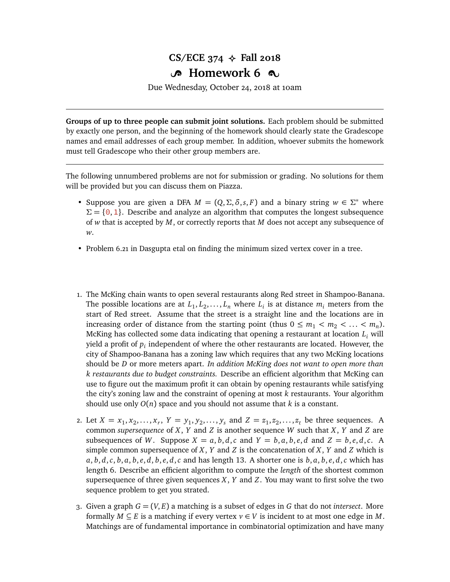## **CS/ECE 374**  $\leftrightarrow$  **Fall 2018 B** Homework 6  $\infty$

Due Wednesday, October 24, 2018 at 10am

**Groups of up to three people can submit joint solutions.** Each problem should be submitted by exactly one person, and the beginning of the homework should clearly state the Gradescope names and email addresses of each group member. In addition, whoever submits the homework must tell Gradescope who their other group members are.

The following unnumbered problems are not for submission or grading. No solutions for them will be provided but you can discuss them on Piazza.

- Suppose you are given a DFA  $M = (Q, \Sigma, \delta, s, F)$  and a binary string  $w \in \Sigma^*$  where  $\Sigma = \{0, 1\}$ . Describe and analyze an algorithm that computes the longest subsequence of *w* that is accepted by *M*, or correctly reports that *M* does not accept any subsequence of *w*.
- Problem 6.21 in Dasgupta etal on finding the minimum sized vertex cover in a tree.
- 1. The McKing chain wants to open several restaurants along Red street in Shampoo-Banana. The possible locations are at  $L_1, L_2, \ldots, L_n$  where  $L_i$  is at distance  $m_i$  meters from the start of Red street. Assume that the street is a straight line and the locations are in increasing order of distance from the starting point (thus  $0 \le m_1 < m_2 < \ldots < m_n$ ). McKing has collected some data indicating that opening a restaurant at location *L<sup>i</sup>* will yield a profit of  $p_i$  independent of where the other restaurants are located. However, the city of Shampoo-Banana has a zoning law which requires that any two McKing locations should be *D* or more meters apart. *In addition McKing does not want to open more than k restaurants due to budget constraints.* Describe an efficient algorithm that McKing can use to figure out the maximum profit it can obtain by opening restaurants while satisfying the city's zoning law and the constraint of opening at most *k* restaurants. Your algorithm should use only  $O(n)$  space and you should not assume that  $k$  is a constant.
- 2. Let  $X = x_1, x_2, ..., x_r$ ,  $Y = y_1, y_2, ..., y_s$  and  $Z = z_1, z_2, ..., z_t$  be three sequences. A common *supersequence* of *X*, *Y* and *Z* is another sequence *W* such that *X*, *Y* and *Z* are subsequences of W. Suppose  $X = a, b, d, c$  and  $Y = b, a, b, e, d$  and  $Z = b, e, d, c$ . A simple common supersequence of  $X$ ,  $Y$  and  $Z$  is the concatenation of  $X$ ,  $Y$  and  $Z$  which is  $a, b, d, c, b, a, b, e, d, b, e, d, c$  and has length 13. A shorter one is  $b, a, b, e, d, c$  which has length 6. Describe an efficient algorithm to compute the *length* of the shortest common supersequence of three given sequences *X*, *Y* and *Z*. You may want to first solve the two sequence problem to get you strated.
- 3. Given a graph  $G = (V, E)$  a matching is a subset of edges in G that do not *intersect*. More formally  $M \subseteq E$  is a matching if every vertex  $v \in V$  is incident to at most one edge in M. Matchings are of fundamental importance in combinatorial optimization and have many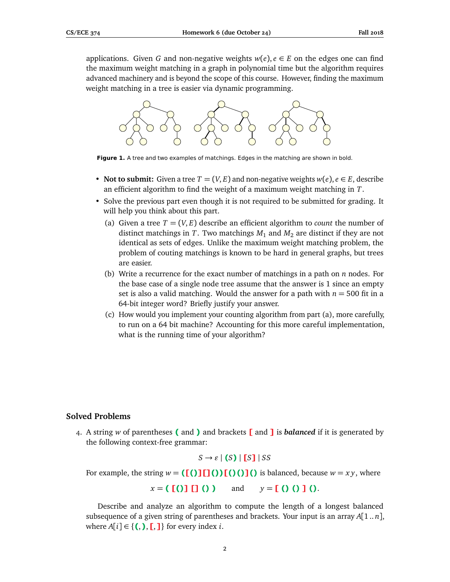applications. Given *G* and non-negative weights  $w(e)$ ,  $e \in E$  on the edges one can find the maximum weight matching in a graph in polynomial time but the algorithm requires advanced machinery and is beyond the scope of this course. However, finding the maximum weight matching in a tree is easier via dynamic programming.



**Figure 1.** A tree and two examples of matchings. Edges in the matching are shown in bold.

- **Not to submit:** Given a tree  $T = (V, E)$  and non-negative weights  $w(e)$ ,  $e \in E$ , describe an efficient algorithm to find the weight of a maximum weight matching in *T*.
- Solve the previous part even though it is not required to be submitted for grading. It will help you think about this part.
	- (a) Given a tree  $T = (V, E)$  describe an efficient algorithm to *count* the number of distinct matchings in *T*. Two matchings  $M_1$  and  $M_2$  are distinct if they are not identical as sets of edges. Unlike the maximum weight matching problem, the problem of couting matchings is known to be hard in general graphs, but trees are easier.
	- (b) Write a recurrence for the exact number of matchings in a path on *n* nodes. For the base case of a single node tree assume that the answer is 1 since an empty set is also a valid matching. Would the answer for a path with  $n = 500$  fit in a 64-bit integer word? Briefly justify your answer.
	- (c) How would you implement your counting algorithm from part (a), more carefully, to run on a 64 bit machine? Accounting for this more careful implementation, what is the running time of your algorithm?

## **Solved Problems**

4. A string *w* of parentheses **(** and **)** and brackets **[** and **]** is *balanced* if it is generated by the following context-free grammar:

$$
S \to \varepsilon \mid (S) \mid [S] \mid SS
$$

For example, the string  $w = (\lfloor \binom{n}{1} \lfloor \binom{n}{2} \rfloor) \lfloor \binom{n}{2} \rfloor$  is balanced, because  $w = xy$ , where

*x* = **( [()] [] () )** and *y* = **[ () () ] ()**.

Describe and analyze an algorithm to compute the length of a longest balanced subsequence of a given string of parentheses and brackets. Your input is an array *A*[1 .. *n*], where  $A[i] \in \{(),],],\}$  for every index *i*.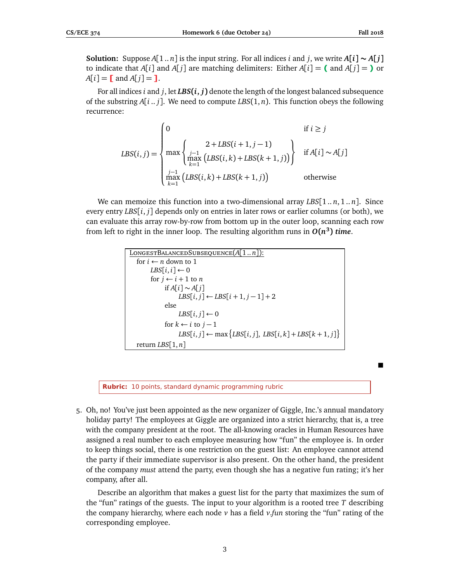**Solution:** Suppose  $A[1..n]$  is the input string. For all indices *i* and *j*, we write  $A[i] \sim A[j]$ to indicate that *A*[*i*] and *A*[*j*] are matching delimiters: Either *A*[*i*] = **(** and *A*[*j*] = **)** or  $A[i] = [$  and  $A[j] = ]$ .

For all indices *i* and *j*, let *LBS***(***i***,** *j***)** denote the length of the longest balanced subsequence of the substring *A*[*i* .. *j*]. We need to compute *LBS*(1, *n*). This function obeys the following recurrence:

$$
LBS(i,j) = \begin{cases} 0 & \text{if } i \ge j \\ \max \left\{ \sum_{\substack{j-1 \\ k \equiv 1}} 2 + LBS(i+1, j-1) \right\} & \text{if } A[i] \sim A[j] \\ \max_{k=1}^{j-1} (LBS(i,k) + LBS(k+1,j)) & \text{otherwise} \end{cases}
$$

We can memoize this function into a two-dimensional array *LBS*[1 .. *n*, 1 .. *n*]. Since every entry *LBS*[*i*, *j*] depends only on entries in later rows or earlier columns (or both), we can evaluate this array row-by-row from bottom up in the outer loop, scanning each row from left to right in the inner loop. The resulting algorithm runs in  $O(n^3)$  *time*.

| LONGESTBALANCEDSUBSEQUENCE $(A[1n])$ :                             |
|--------------------------------------------------------------------|
| for $i \leftarrow n$ down to 1                                     |
| $LBS[i, i] \leftarrow 0$                                           |
| for $j \leftarrow i + 1$ to n                                      |
| if $A[i] \sim A[i]$                                                |
| $LBS[i, j] \leftarrow LBS[i+1, j-1]+2$                             |
| else                                                               |
| LBS $[i, j] \leftarrow 0$                                          |
| for $k \leftarrow i$ to $j-1$                                      |
| $LBS[i, j] \leftarrow \max \{LBS[i, j], LBS[i, k] + LBS[k+1, j]\}$ |
| return LBS $[1, n]$                                                |

**Rubric:** 10 points, standard dynamic programming rubric

5. Oh, no! You've just been appointed as the new organizer of Giggle, Inc.'s annual mandatory holiday party! The employees at Giggle are organized into a strict hierarchy, that is, a tree with the company president at the root. The all-knowing oracles in Human Resources have assigned a real number to each employee measuring how "fun" the employee is. In order to keep things social, there is one restriction on the guest list: An employee cannot attend the party if their immediate supervisor is also present. On the other hand, the president of the company *must* attend the party, even though she has a negative fun rating; it's her company, after all.

Describe an algorithm that makes a guest list for the party that maximizes the sum of the "fun" ratings of the guests. The input to your algorithm is a rooted tree *T* describing the company hierarchy, where each node  $\nu$  has a field  $\nu$ , *fun* storing the "fun" rating of the corresponding employee.

3

■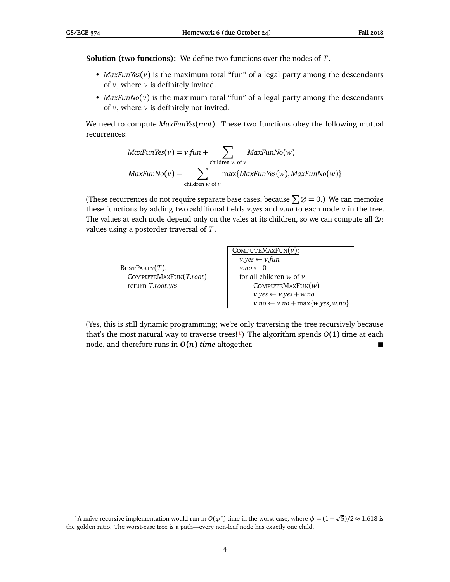**Solution (two functions):** We define two functions over the nodes of *T*.

- *MaxFunYes*(*v*) is the maximum total "fun" of a legal party among the descendants of  $v$ , where  $v$  is definitely invited.
- $MaxFunNo(v)$  is the maximum total "fun" of a legal party among the descendants of  $\nu$ , where  $\nu$  is definitely not invited.

We need to compute *MaxFunYes*(*root*). These two functions obey the following mutual recurrences:

$$
MaxFunYes(v) = v.fun + \sum_{children \ w \ of \ v} MaxFunNo(w)
$$
  
\n
$$
MaxFunNo(v) = \sum_{children \ w \ of \ v} max\{MaxFunYes(w), MaxFunNo(w)\}
$$

(These recurrences do not require separate base cases, because  $\sum \emptyset = 0$ .) We can memoize these functions by adding two additional fields *v*.*yes* and *v*.*no* to each node *v* in the tree. The values at each node depend only on the vales at its children, so we can compute all 2*n* values using a postorder traversal of *T*.

| $\text{BestPARTY}(T)$ : |
|-------------------------|
| COMPUTEMAXFUN(T.root)   |
| return T.root.yes       |

| COMPUTEMAXFUN(v):                            |
|----------------------------------------------|
| $v.yes \leftarrow v.fun$                     |
| $v.no \leftarrow 0$                          |
| for all children $w$ of $v$                  |
| COMPUTEMAXFUN( $w$ )                         |
| $v.yes \leftarrow v.yes + w.no$              |
| $v.no \leftarrow v.no + \max\{w.yes, w.no\}$ |

(Yes, this is still dynamic programming; we're only traversing the tree recursively because that's the most natural way to traverse trees!<sup>1</sup>) The algorithm spends  $O(1)$  time at each node, and therefore runs in *O***(***n***)** *time* altogether.

<span id="page-3-0"></span><sup>&</sup>lt;sup>1</sup>A naïve recursive implementation would run in  $O(\phi^n)$  time in the worst case, where  $\phi = (1 +$  $\sqrt{5}$ )/2 ≈ 1.618 is the golden ratio. The worst-case tree is a path—every non-leaf node has exactly one child.